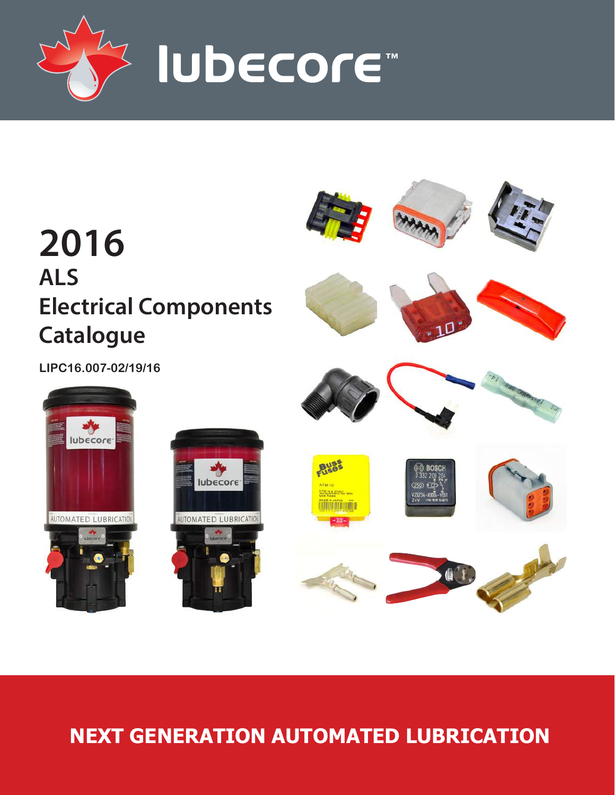



# **NEXT GENERATION AUTOMATED LUBRICATION**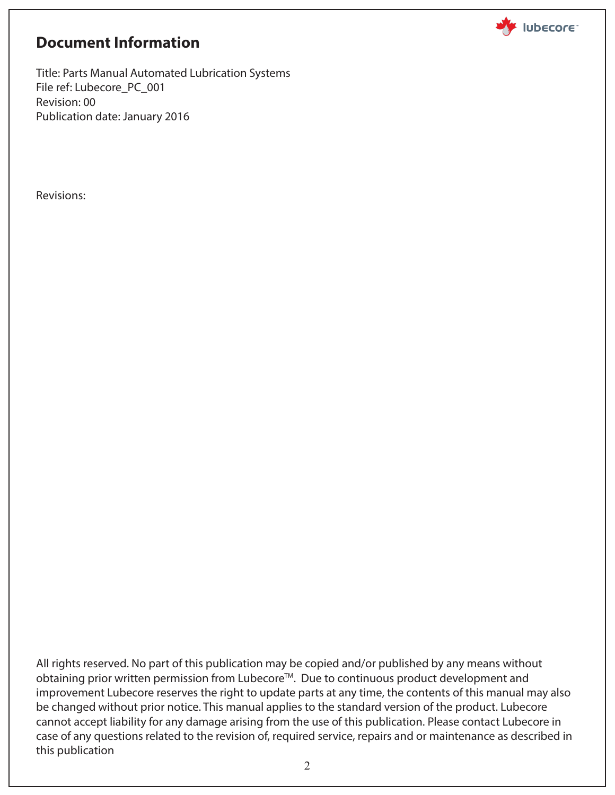

### **Document Information**

Title: Parts Manual Automated Lubrication Systems File ref: Lubecore\_PC\_001 Revision: 00 Publication date: January 2016

Revisions:

All rights reserved. No part of this publication may be copied and/or published by any means without obtaining prior written permission from Lubecore<sup>™</sup>. Due to continuous product development and improvement Lubecore reserves the right to update parts at any time, the contents of this manual may also be changed without prior notice. This manual applies to the standard version of the product. Lubecore cannot accept liability for any damage arising from the use of this publication. Please contact Lubecore in case of any questions related to the revision of, required service, repairs and or maintenance as described in this publication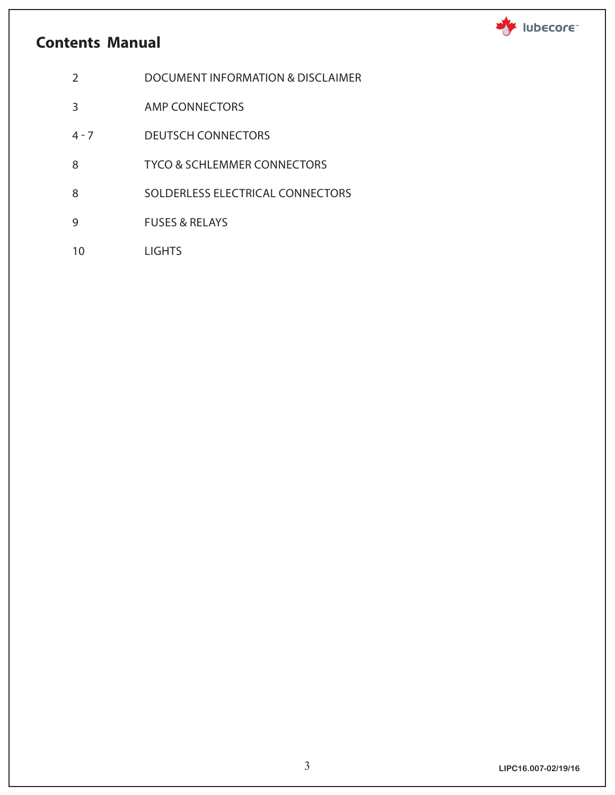## **Contents Manual**

Iubecore

- 2 DOCUMENT INFORMATION & DISCLAIMER
- 3 AMP CONNECTORS
- 4 7 DEUTSCH CONNECTORS
- 8 TYCO & SCHLEMMER CONNECTORS
- 8 SOLDERLESS ELECTRICAL CONNECTORS
- 9 FUSES & RELAYS
- 10 LIGHTS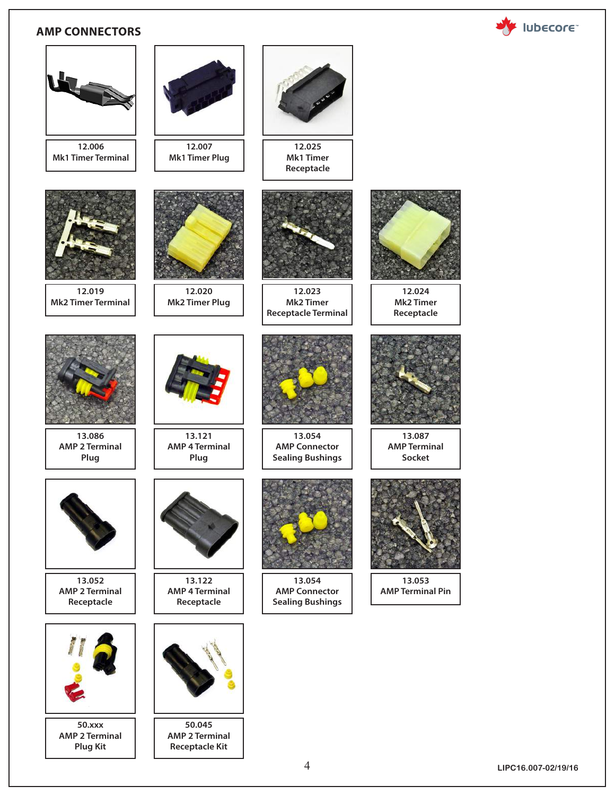#### **AMP CONNECTORS**





4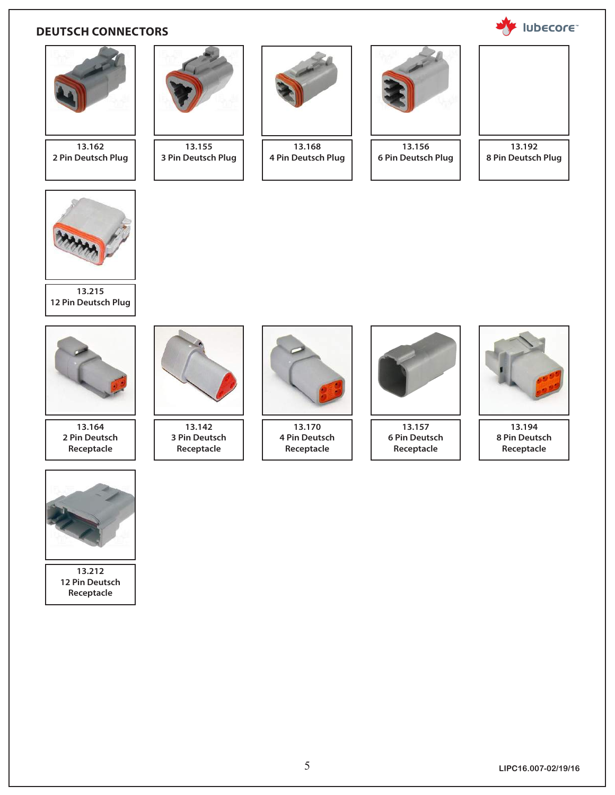#### **DEUTSCH CONNECTORS**



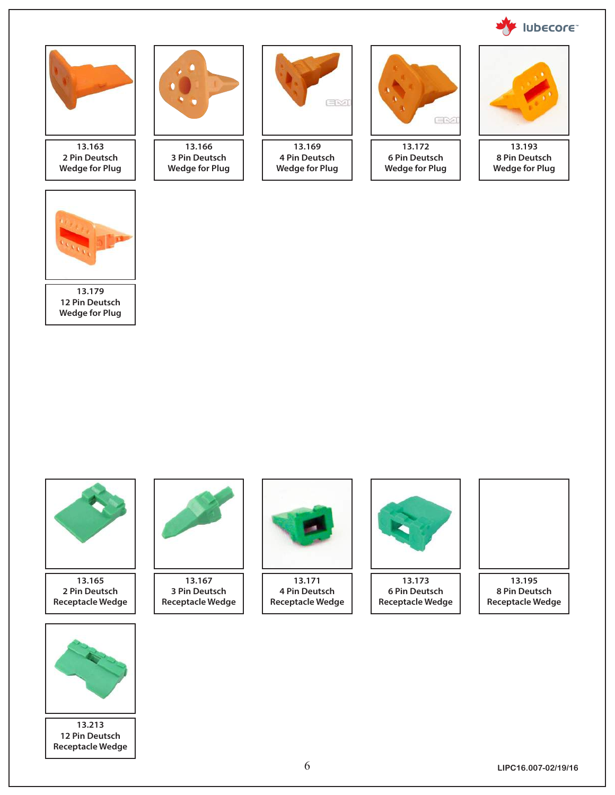



**13.179 12 Pin Deutsch Wedge for Plug**



**13.165 2 Pin Deutsch Receptacle Wedge**



**13.167 3 Pin Deutsch Receptacle Wedge**



**13.171 4 Pin Deutsch Receptacle Wedge**



**13.173 6 Pin Deutsch Receptacle Wedge**



**8 Pin Deutsch Receptacle Wedge**



**13.213 12 Pin Deutsch Receptacle Wedge**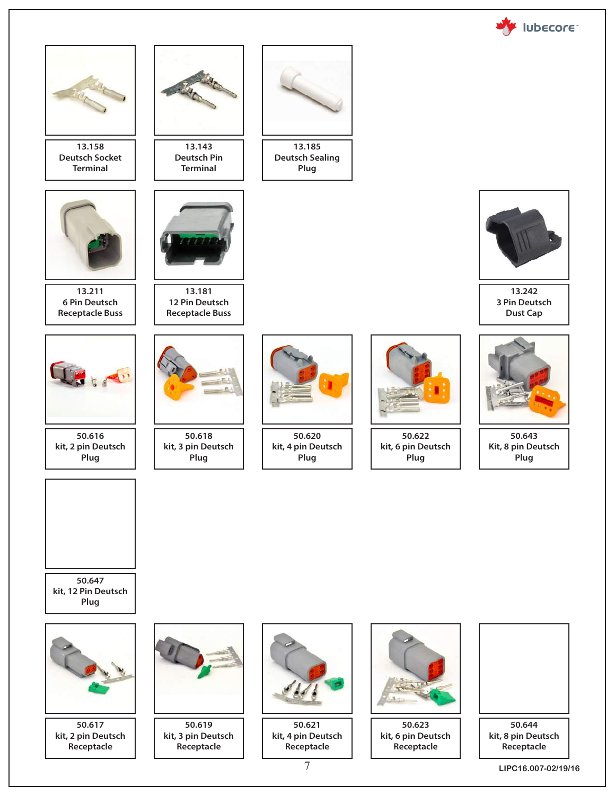

**LIPC16.007-02/19/16**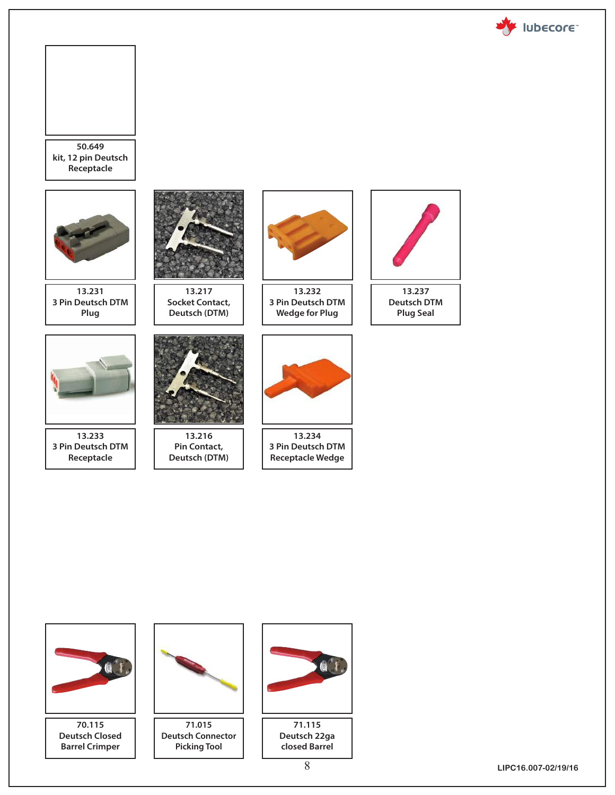





**LIPC16.007-02/19/16**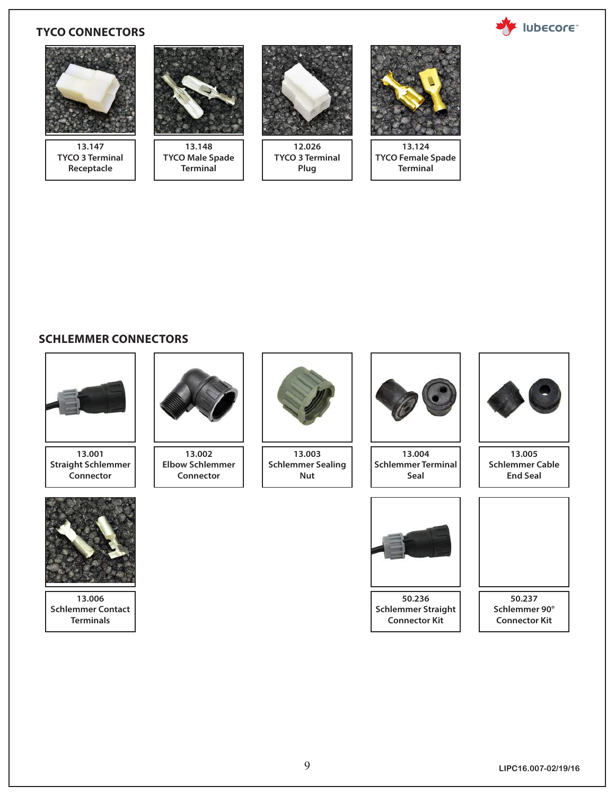#### **TYCO CONNECTORS**





#### **SCHLEMMER CONNECTORS**



**13.001 Straight Schlemmer Connector**



**13.006 Schlemmer Contact Terminals**



**13.002 Elbow Schlemmer Connector**



**13.003 Schlemmer Sealing Nut**



**13.004 Schlemmer Terminal Seal**



**13.005 Schlemmer Cable End Seal**



**50.236 Schlemmer Straight Connector Kit**



**50.237 Schlemmer 90° Connector Kit**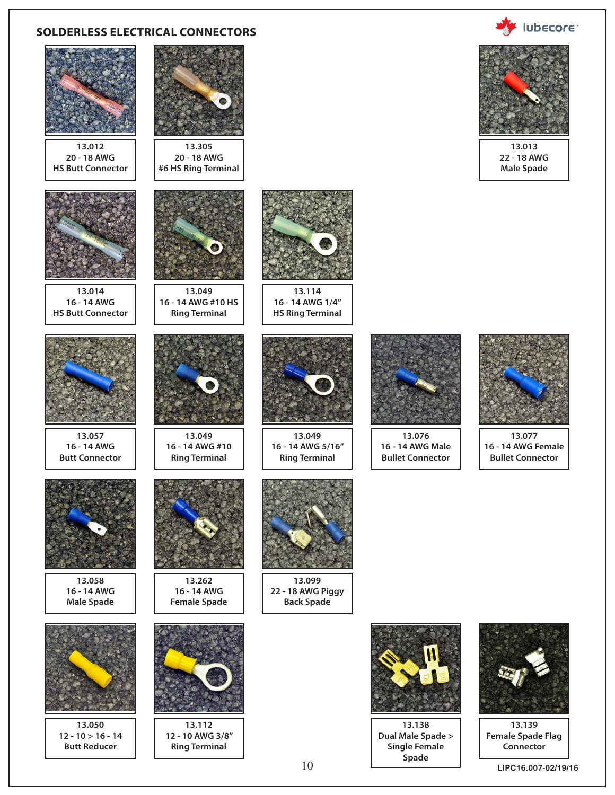#### **SOLDERLESS ELECTRICAL CONNECTORS**



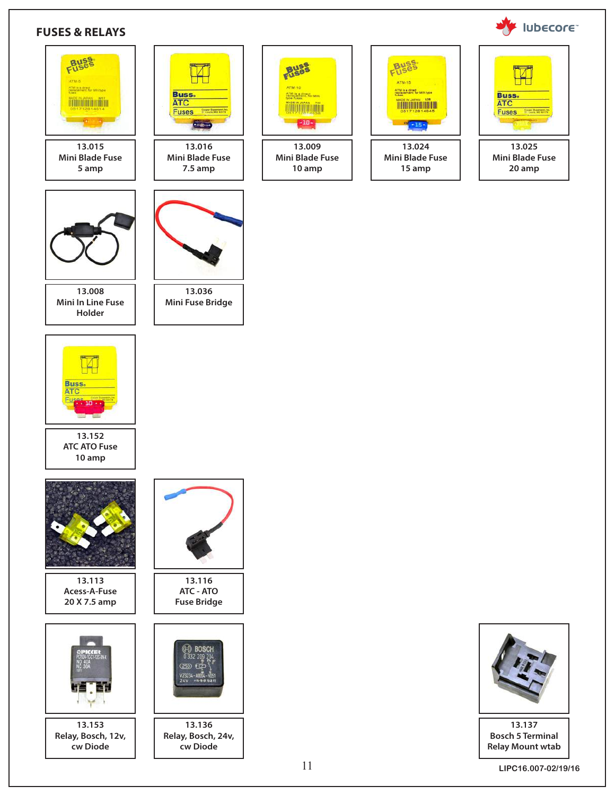

#### **FUSES & RELAYS**



**cw Diode**

**cw Diode**

<u>MANTI ITALIA</u> - 10 **13.009 Mini Blade Fuse 10 amp**

| <b>ATM.15</b>             |
|---------------------------|
|                           |
| 13.024                    |
| Mini Blade Fuse<br>15 amp |



**13.025 Mini Blade Fuse 20 amp**



**13.137 Bosch 5 Terminal Relay Mount wtab**

**LIPC16.007-02/19/16**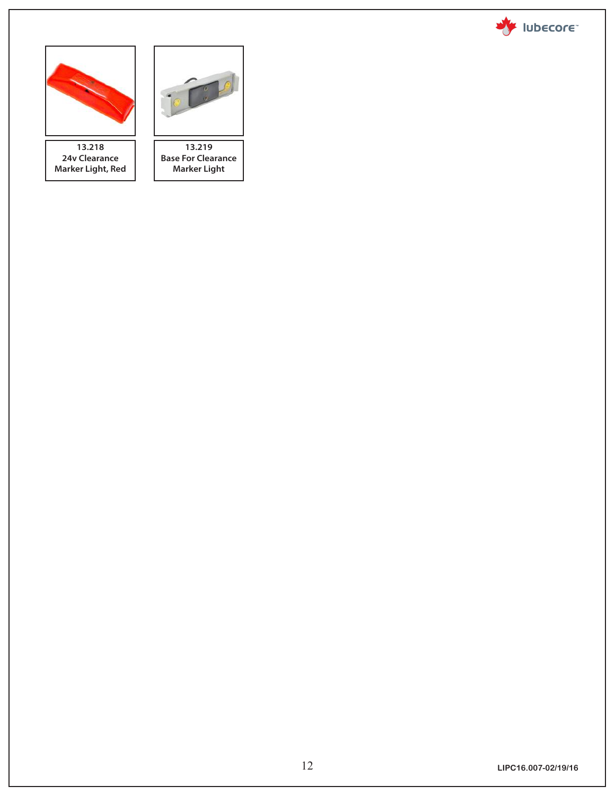



**13.218 24v Clearance Marker Light, Red**



**Base For Clearance Marker Light**